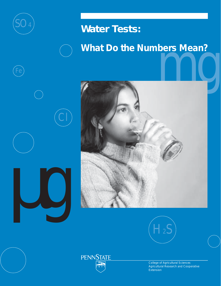

Fe

µg

Cl

# **Water Tests:**





College of Agricultural Sciences Agricultural Research and Cooperative **Extension** 

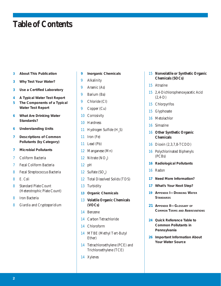# **Table of Contents**

- **About This Publication**
- **Why Test Your Water?**
- **Use a Certified Laboratory**
- **A Typical Water Test Report**
- **The Components of a Typical Water Test Report**
- **What Are Drinking Water Standards?**
- **Understanding Units**
- **Descriptions of Common Pollutants (by Category)**
- **Microbial Pollutants**
- Coliform Bacteria
- Fecal Coliform Bacteria
- Fecal Streptococcus Bacteria
- *E. Coli*
- Standard Plate Count (Heterotrophic Plate Count)
- Iron Bacteria
- *Giardia* and *Cryptosporidium*
- **Inorganic Chemicals**
- Alkalinity
- Arsenic (As)
- Barium (Ba)
- Chloride (Cl)
- Copper (Cu)
- Corrosivity
- Hardness
- 11 Hydrogen Sulfide  $(H<sub>2</sub>S)$
- Iron (Fe)
- Lead (Pb)
- Manganese (Mn)
- 12 Nitrate  $(NO_3)$
- pH
- 12 Sulfate  $(SO_4)$
- Total Dissolved Solids (TDS)
- Turbidity
- **Organic Chemicals**
- **Volatile Organic Chemicals (VOCs)**
- Benzene
- Carbon Tetrachloride
- Chloroform
- MTBE (Methyl Tert-Butyl Ether)
- Tetrachloroethylene (PCE) and Trichloroethylene (TCE)
- Xylenes

# **Nonvolatile or Synthetic Organic Chemicals (SOCs)**

- Atrazine
- 2,4-Dichlorophenoxyacetic Acid (2,4-D)
- Chlorpyrifos
- Glyphosate
- Metolachlor
- Simazine
- **Other Synthetic Organic Chemicals**
- Dioxin (2,3,7,8-TCDD)
- Polychlorinated Biphenyls (PCBs)
- **Radiological Pollutants**
- Radon
- **Need More Information?**
- **What's Your Next Step?**
- **APPENDIX I—DRINKING WATER STANDARDS**
- **APPENDIX II—GLOSSARY OF COMMON TERMS AND ABBREVIATIONS**
- **Quick Reference Table to Common Pollutants in Pennsylvania**
- **Important Information About Your Water Source**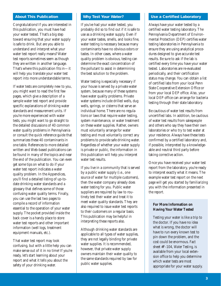### **About This Publication**

Congratulations! If you are interested in this publication, you must have had your water tested. That's a big step toward ensuring that your water supply is safe to drink. But are you able to understand and interpret what your water test report really means? Water test reports sometimes seem as though they are written in another language. That's where this publication fits in—it will help you translate your water test report into more understandable terms.

If water tests are completely new to you, you might want to read the first few pages, which give a description of a sample water test report and provide specific explanations of drinking water standards and measurement units. If you're more experienced with water tests, you might want to go straight to the detailed discussions of 40 common water quality problems in Pennsylvania or consult the quick reference guide that summarizes these 40 contaminants in one table. References to more detailed written and Web-based publications can be found in many of the topics and near the end of the publication. You can even get some tips on what to do if your water test report indicates a water quality problem. In the Appendices, you'll find a detailed listing of up-todate drinking water standards and a glossary that defines some of those confusing water quality terms. Finally, you can use the last two pages to compile a record of information essential to the operation of your water supply. The pocket provided inside the back cover is a handy place to store water test reports and other important information (well logs, treatment equipment manuals, etc.).

That water test report may look confusing, but with a little help you can make sense out of it in no time! If you're ready, let's start learning about your report and what it tells you about the safety of your drinking water.

### **Why Test Your Water?**

If you've had your water tested, you probably did so to find out if it is safe to use as a drinking water supply. Even if your water tastes, smells, and looks fine, water testing is necessary because many contaminants have no obvious odors or tastes. In other cases, where a water quality problem is obvious, testing can determine the exact concentration of the pollutant to assist in determining the best solution to the problem.

Water testing is especially necessary if your house is served by a private water system, because many of these systems have water quality problems. Private water systems include drilled wells, dug wells, springs, or cisterns that serve an individual home. There are no regulations or laws that require water testing, system maintenance, or water treatment on these water supplies. Rather, owners must voluntarily arrange for water testing and must voluntarily correct any problems to provide safe drinking water. Regardless of whether your water supply is private or public, the information in this publication will help you interpret water test results.

If you live in a community that is served by a public water supply (i.e., one source of water for multiple customers), then the water company already does water testing for you. Public water suppliers are required by law to routinely test their water and treat it to meet water quality standards. They are also required to issue water test reports to their customers on a regular basis. This publication may be helpful in interpreting these reports also.

Although drinking water standards are applicable to all types of water supplies, they are not legally binding for private water supplies. It is recommended, however, that private water supply owners maintain their water quality to the same standards required by law for public water supplies.

### **Use a Certified Laboratory**

Always have your water tested by a certified water testing laboratory. The Pennsylvania Department of Environmental Protection (DEP) certifies water testing laboratories in Pennsylvania to ensure they are using analytical procedures designed to give accurate test results. Be sure to ask if the lab is certified every time you have your water tested. Laboratories are re-evaluated periodically, and their certification status may change. You can obtain a list of certified labs from your local Penn State Cooperative Extension Office or from your local DEP office. Also, your local DEP office can arrange for bacteria testing through their state laboratory.

Be cautious of water test results from uncertified labs. In addition, be cautious of water test results from salespeople and others who say they have their own laboratories or who try to test water at your residence. Always have these tests confirmed by a certified laboratory and, if possible, interpreted by a knowledgeable and neutral third party before taking corrective action.

Once you have received your water test report from the laboratory, you're ready to interpret exactly what it means. The example water test report on the next page will get you started by familiarizing you with the information presented in the report.

### **For More Information on Having Your Water Tested**

Testing your water is like a trip to the doctor. If you have no idea what is wrong, the doctor will have to run every known test to pin down the problem, and the cost could be enormous. Fact sheet #F-104, *Water Testing*, is available from your local extension office to help you determine which water tests are most appropriate for your water supply.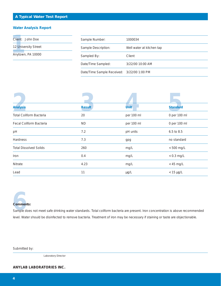# **A Typical Water Test Report**

### **Water Analysis Report**

| Client: John Doe     | Sample Number:                             | 1000034                   |
|----------------------|--------------------------------------------|---------------------------|
| 12 University Street | Sample Description:                        | Well water at kitchen tap |
| Anytown, PA 10000    | Sampled By:                                | Client                    |
|                      | Date/Time Sampled:                         | 3/22/00 10:00 AM          |
|                      | Date/Time Sample Received: 3/22/00 1:00 PM |                           |

| <b>Analysis</b>                | <b>Result</b> | <b>Unit</b> | <b>Standard</b> |  |
|--------------------------------|---------------|-------------|-----------------|--|
| <b>Total Coliform Bacteria</b> | 20            | per 100 ml  | 0 per 100 ml    |  |
| Fecal Coliform Bacteria        | <b>ND</b>     | per 100 ml  | 0 per 100 ml    |  |
| pH                             | 7.2           | pH units    | 6.5 to 8.5      |  |
| Hardness                       | 7.3           | gpg         | no standard     |  |
| <b>Total Dissolved Solids</b>  | 260           | mg/L        | $< 500$ mg/L    |  |
| Iron                           | 0.4           | mg/L        | $< 0.3$ mg/L    |  |
| Nitrate                        | 4.23          | mg/L        | $<$ 45 mg/L     |  |
| Lead                           | 11            | $\mu g/L$   | $<$ 15 µg/L     |  |



**6**<br>
Sample does not meet safe drinking water standards. Total coliform bacteria are present. Iron concentration is above recommended level. Water should be disinfected to remove bacteria. Treatment of iron may be necessary if staining or taste are objectionable.

Submitted by:

Laboratory Director

**ANYLAB LABORATORIES INC.**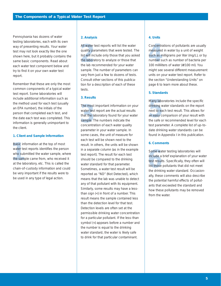Pennsylvania has dozens of water testing laboratories, each with its own way of presenting results. Your water test may not look exactly like the one shown here, but it probably contains the same basic components. Read about each water test component below and try to find it on your own water test report.

Remember that these are only the most common components of a typical water test report. Some laboratories will include additional information such as the method used for each test (usually an EPA number), the initials of the person that completed each test, and the date each test was completed. This information is generally unimportant to the client.

#### **1. Client and Sample Information**

Basic in<br>water te<br>who sub<br>the sam<br>at the la Basic information at the top of most water test reports identifies the person who submitted the water sample, where the sample came from, who received it at the laboratory, etc. This is called the chain-of-custody information and could be very important if the results were to be used in any type of legal action.

### **2. Analysis**

All water<br>quality pa<br>list will in<br>the labor<br>the lab re All water test reports will list the water quality parameters that were tested. The list will include only those that you asked the laboratory to analyze or those that the lab recommended for your water sample. The number of parameters can vary from just a few to dozens of tests. Consult other sections of this publication for a description of each of these tests.

### **3. Results**

The most important information on<br>water test report are the actual resu<br>that the laboratory found for your w<br>sample. The numbers indicate the<br>concentration of each water quality The most important information on your water test report are the actual results that the laboratory found for your water sample. The numbers indicate the parameter in your water sample. In some cases, the unit of measure for each test will be shown next to the result. In others, the units will be shown in a separate column (as in the example test report). The result for each test should be compared to the drinking water standard for that parameter. Sometimes, a water test result will be reported as "ND" (Not Detected), which means that the lab was unable to detect any of that pollutant with its equipment. Similarly, some results may have a lessthan sign (<) in front of a number. This result means the sample contained less than the detection level for that test. Detection levels are often set at the permissible drinking water concentration for a particular pollutant. If the less-than symbol (<) appears before a number and the number is equal to the drinking water standard, the water is likely safe to drink for that particular contaminant.

### **4. Units**

**4** Concentr<br>
measured<br>
such as r<br>
number s<br>
100 millilli Concentrations of pollutants are usually measured in water by a unit of weight such as milligrams per liter (mg/L), or by number such as number of bacteria per 100 milliliters of water (#/100 ml). You might see several different measurement units on your water test report. Refer to the section "Understanding Units" on page 6 to learn more about these.

### **5. Standards**

Many laboratories include the specific<br>drinking water standards on the report<br>next to each test result. This allows fo<br>an easy comparison of your result with<br>the safe or recommended level for each drinking water standards on the report next to each test result. This allows for an easy comparison of your result with the safe or recommended level for each test parameter. A complete list of up-todate drinking water standards can be found in Appendix I in this publication.

### **6. Comments**

Some water testing laboratories will<br>
include a brief explanation of your wate<br>
test results. Specifically, they often will<br>
list those pollutants that did not meet<br>
the drinking water standard. Occasion-Some water testing laboratories will include a brief explanation of your water test results. Specifically, they often will list those pollutants that did not meet ally, these comments will also describe the potential harmful effects of pollutants that exceeded the standard and how these pollutants may be removed from the water.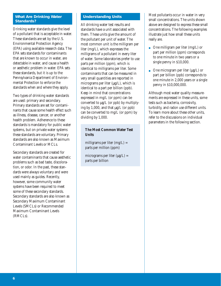### **What Are Drinking Water Standards?**

Drinking water standards give the level of a pollutant that is acceptable in water. These standards are set by the U.S. Environmental Protection Agency (EPA) using available research data. The EPA sets standards for contaminants that are known to occur in water, are detectable in water, and cause a health or aesthetic problem in water. EPA sets these standards, but it is up to the Pennsylvania Department of Environmental Protection to enforce the standards when and where they apply.

Two types of drinking water standards are used: primary and secondary. Primary standards are set for contaminants that cause some health effect such as illness, disease, cancer, or another health problem. Adherence to these standards is mandatory for public water systems, but on private water systems these standards are voluntary. Primary standards are also known as Maximum Contaminant Levels or MCLs.

Secondary standards are created for water contaminants that cause aesthetic problems such as bad taste, discoloration, or odor. In the past, these standards were always voluntary and were used mainly as guides. Recently, however, some community water systems have been required to meet some of these secondary standards. Secondary standards are also known as Secondary Maximum Contaminant Levels (SMCLs) or Recommended Maximum Contaminant Levels (RMCLs).

# **Understanding Units**

All drinking water test results and standards have a unit associated with them. These units give the amount of the pollutant per unit of water. The most common unit is the milligram per liter (mg/L), which expresses the milligrams of a pollutant in every liter of water. Some laboratories prefer to use parts per million (ppm), which is identical to milligrams per liter. Some contaminants that can be measured in very small quantities are reported in micrograms per liter  $(\mu g/L)$ , which is identical to a part per billion (ppb). Keep in mind that concentrations expressed in mg/L (or ppm) can be converted to  $\mu$ g/L (or ppb) by multiplying by 1,000, and that  $\mu$ g/L (or ppb) can be converted to mg/L (or ppm) by dividing by 1,000.

# **The Most Common Water Test Units**

milligrams per liter (mg/L) = parts per million (ppm)

micrograms per liter  $(\mu g/L)$  = parts per billion

Most pollutants occur in water in very small concentrations. The units shown above are designed to express these small concentrations. The following examples illustrate just how small these units really are.

- One milligram per liter  $(mg/L)$  or part per million (ppm) corresponds to one minute in two years or a single penny in \$10,000.
- One microgram per liter  $(\mu g/L)$  or part per billion (ppb) corresponds to one minute in 2,000 years or a single penny in \$10,000,000.

Although most water quality measurements are expressed in these units, some tests such as bacteria, corrosivity, turbidity, and radon use different units. To learn more about these other units, refer to the discussions on individual parameters in the following section.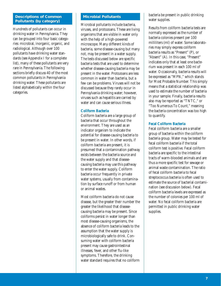### **Descriptions of Common Pollutants (by category)**

Hundreds of pollutants can occur in drinking water in Pennsylvania. They can be grouped into four basic categories: microbial, inorganic, organic, and radiological. Although over 100 pollutants have drinking water standards (see Appendix I for a complete list), many of these pollutants are very rare in Pennsylvania. The following sections briefly discuss 40 of the most common pollutants in Pennsylvania drinking water. These pollutants are listed alphabetically within the four categories.

### **Microbial Pollutants**

Microbial pollutants include bacteria, viruses, and protozoans. These are living organisms that are visible in water only with the help of a high-powered microscope. Many different kinds of bacteria, some disease-causing but many not, may be present in a water supply. The tests discussed below are specific bacteria tests that are used to determine whether disease-causing bacteria may be present in the water. Protozoans are less common in water than bacteria, but a few can be problems. Viruses will not be discussed because they rarely occur in Pennsylvania drinking water; however, viruses such as hepatitis are carried by water and can cause serious illness.

#### **Coliform Bacteria**

Coliform bacteria are a large group of bacteria that occur throughout the environment. They are used as an indicator organism to indicate the potential for disease-causing bacteria to be present in water. In other words, if coliform bacteria are present, it is presumed that a contamination pathway exists between the bacteria source and the water supply and that diseasecausing bacteria may use this pathway to enter the water supply. Coliform bacteria occur frequently in private water systems, usually from contamination by surface runoff or from human or animal wastes.

Most coliform bacteria do not cause disease, but the greater their number the greater the likelihood that diseasecausing bacteria may be present. Since coliforms persist in water longer than most disease-causing organisms, the absence of coliform bacteria leads to the assumption that the water supply is microbiologically safe to drink. Consuming water with coliform bacteria present may cause gastrointestinal illnesses, fever, and other flu-like symptoms. Therefore, the drinking water standard requires that no coliform

bacteria be present in public drinking water supplies.

Results from coliform bacteria tests are normally expressed as the number of bacteria colonies present per 100 milliliters (ml) of water. Some laboratories may simply express coliform bacteria results as "Present" (P), or "Absent" (A). In this case, "Present" indicates only that at least one bacterium was present in each 100 ml of water. Occasionally, bacteria results will be expressed as "MPN," which stands for Most Probable Number. This simply means that a statistical relationship was used to estimate the number of bacteria in your sample. Finally, bacteria results also may be reported as "TNTC," or "Too Numerous To Count," meaning the bacteria concentration was too high to quantify.

### **Fecal Coliform Bacteria**

Fecal coliform bacteria are a smaller group of bacteria within the coliform bacteria group. Water may be tested for fecal coliform bacteria if the total coliform test is positive. Fecal coliform bacteria are specific to the intestinal tracts of warm-blooded animals and are thus a more specific test for sewage or animal waste contamination. The ratio of fecal coliform bacteria to fecal streptococcus bacteria is often used to estimate the source of bacterial contamination (see discussion below). Fecal coliform bacteria levels are expressed as the number of colonies per 100 ml of water. No fecal coliform bacteria are permitted in public drinking water supplies.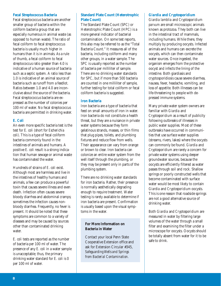### **Fecal Streptococcus Bacteria**

Fecal streptococcus bacteria are another smaller group of bacteria within the coliform bacteria group that are especially numerous in animal waste (as opposed to human waste). The ratio of fecal coliform to fecal streptococcus bacteria is usually much higher in humans than it is in animals. As a rule of thumb, a fecal coliform to fecal streptococcus ratio greater than 4.0 is indicative of a human source of bacteria such as a septic system. A ratio less than 1.0 is indicative of an animal source of bacteria such as runoff from a feedlot. Ratios between 1.0 and 4.0 are inconclusive about the source of the bacteria. Fecal streptococcus bacteria are expressed as the number of colonies per 100 ml of water. No fecal streptococcus bacteria are permitted in drinking water.

# *E. Coli*

An even more specific bacteria test is the test for *E. coli* (short for *Escherichia coli)*. This is a type of fecal coliform bacteria commonly found in the intestines of animals and humans. A positive *E. coli* result is a strong indication that human sewage or animal waste has contaminated the water.

Hundreds of strains of *E. coli* exist. Although most are harmless and live in the intestines of healthy humans and animals, a few can produce a powerful toxin that causes severe illness and even death. Infection often causes severe bloody diarrhea and abdominal cramps; sometimes the infection causes nonbloody diarrhea. Frequently, no fever is present. It should be noted that these symptoms are common to a variety of diseases and may be caused by sources other than contaminated drinking water.

*E. coli* tests are reported as the number of bacteria per 100 ml of water. The presence of any *E. coli* in a water sample is unacceptable; thus, the primary drinking water standard for *E. coli* is 0 per 100 ml of water.

# **Standard Plate Count (Heterotrophic Plate Count)**

The Standard Plate Count (SPC) or Heterotrophic Plate Count (HPC) is a more general indicator of bacterial contamination. On some test reports, this also may be referred to as the "Total Bacteria Count." It measures all of the bacteria, including coliform and many other groups, in a water sample. The SPC is usually reported as the number of bacteria per milliliter of sample. There are no drinking water standards for SPC, but if more than 500 bacteria are counted in one milliliter of sample, further testing for total coliform or fecal coliform bacteria is suggested.

### **Iron Bacteria**

Iron bacteria are a type of bacteria that feed on small amounts of iron in water. Iron bacteria do not constitute a health threat, but they are a nuisance in private water systems because they form gelatinous strands, masses, or thin films that plug pipes, toilets, and plumbing fixtures and reduce flow from wells. Their appearance can vary from orange or brown to clear. Iron bacteria can colonize an entire water system from the well itself through the plumbing, or they may be present only in parts of the plumbing system.

There are no drinking water standards for iron bacteria. Rather, their presence is normally aesthetically degrading enough to require treatment. Water testing is rarely available to determine if iron bacteria are present. Confirmation is usually based upon the visual symptoms in the water.

# **For More Information on Bacteria in Water**

Contact your local Penn State Cooperative Extension office and ask for Extension Circular #345, *Safeguarding Wells and Springs from Bacterial Contamination.*

### *Giardia* **and** *Cryptosporidium*

*Giardia lamblia* and *Cryptosporidium parvum* are small microscopic animals known as protozoa. They both can live in the intestinal tract of mammals, including humans. While there, they multiply by producing oocysts. Infected animals and humans can excrete the oocysts, which can then contaminate water sources. Once ingested, the organism emerges from the protective oocyst and infects the lining of the intestine. Both giardiasis and cryptosporidiosis cause severe diarrhea, nausea, fever, headache, vomiting, and loss of appetite. Both illnesses can be life-threatening to people with depressed immune systems.

Many private water system owners are familiar with *Giardia* and *Cryptosporidium* as a result of publicity following outbreaks of illnesses in public water supplies. Most of these outbreaks have occurred in communities that use surface water supplies (streams, rivers, lakes) where the oocysts can commonly be found. *Giardia* and *Cryptosporidium* are rarely a concern for private water systems using deeper groundwater sources, because the oocysts are efficiently filtered as water passes through soil and rock. Shallow springs or poorly constructed wells that become contaminated with surface water would be most likely to contain *Giardia* and *Cryptosporidium* oocysts. This is one reason that roadside springs are not a good alternative source of drinking water.

Both *Giardia* and *Cryptosporidium* are measured in water by filtering large volumes of the water through a small filter and examining the filter under a microscope for oocysts. Oocysts should be totally absent from water for it to be safe to drink.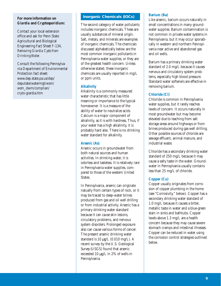### **For more information on** *Giardia* **and** *Cryptosporidium***:**

Contact your local extension office and ask for Penn State Agricultural and Biological Engineering Fact Sheet F-134, *Removing Giardia Cysts from Drinking Water.*

Consult the following Pennsylvania Department of Environmental Protection fact sheet: www.dep.state.pa.us/dep/ deputate/watermgt/wsm/ wsm\_dwm/complian/ cryto-giardia.htm

# **Inorganic Chemicals (IOCs)**

The second category of water pollutants includes inorganic chemicals. These are usually substances of mineral origin. Salt, metals, and minerals are examples of inorganic chemicals. The chemicals discussed alphabetically below are the most common inorganic pollutants in Pennsylvania water supplies, or they are of the greatest health concern. Unless otherwise stated, these inorganic chemicals are usually reported in mg/L or ppm units.

### **Alkalinity**

Alkalinity is a commonly measured water characteristic that has little meaning or importance to the typical homeowner. It is a measure of the ability of water to neutralize acids. Calcium is a major component of alkalinity, as it is with hardness. Thus, if your water has a high alkalinity, it is probably hard also. There is no drinking water standard for alkalinity.

#### **Arsenic (As)**

Arsenic occurs in groundwater from both natural sources and human activities. In drinking water, it is odorless and tasteless. It is relatively rare in Pennsylvania water supplies, compared to those of the western United States.

In Pennsylvania, arsenic can originate natually from certain types of rock, or it may be traced to deep-water brines produced from gas and oil well drilling or from industrial activity. Arsenic has a primary drinking water standard because it can cause skin lesions, circulatory problems, and nervous system disorders. Prolonged exposure also can cause various forms of cancer. The present arsenic drinking water standard is  $10 \mu g/L$  (0.010 mg/L). A recent survey by the U.S. Geological Survey (USGS) found that arsenic exceeded 10 µg/L in 2% of wells in Pennsylvania.

### **Barium (Ba)**

Like arsenic, barium occurs naturally in small concentrations in many groundwater supplies. Barium contamination is not common in private water systems in Pennsylvania, but it may occur sporadically in western and northern Pennsylvania near active and abandoned gas and oil wells.

Barium has a primary drinking water standard of 2.0 mg/L because it causes nervous and circulatory system problems, especially high blood pressure. Standard water softeners are effective in removing barium.

### **Chloride (Cl)**

Chloride is common in Pennsylvania water supplies, but it rarely reaches levels of concern. It occurs naturally in most groundwater but may become elevated due to leaching from salt storage areas around highways or from brines produced during gas well drilling. Other possible sources of chloride are sewage effluent, animal manure, and industrial waste.

Chloride has a secondary drinking water standard of 250 mg/L because it may cause a salty taste in the water. Groundwater in Pennsylvania usually contains less than 25 mg/L of chloride.

### **Copper (Cu)**

Copper usually originates from corrosion of copper plumbing in the home (see "Corrosivity," below). Copper has a secondary drinking water standard of 1.0 mg/L because it causes a bitter, metallic taste in water and a blue-green stain in sinks and bathtubs. Copper levels above 1.3 mg/L are a health concern because they may cause severe stomach cramps and intestinal illnesses. Copper can be reduced in water using the corrosion control strategies outlined below.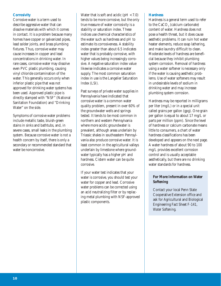### **Corrosivity**

Corrosive water is a term used to describe aggressive water that can dissolve materials with which it comes in contact. It is a problem because many homes have copper or galvanized pipes, lead solder joints, and brass plumbing fixtures. Thus, corrosive water may cause increases in copper and lead concentrations in drinking water. In rare cases, corrosive water may dissolve even PVC plastic plumbing, causing vinyl chloride contamination of the water. This generally occurs only when inferior plastic pipe that was not approved for drinking water systems has been used. Approved plastic pipe is directly stamped with "NSF" (National Sanitation Foundation) and "Drinking Water" on the side.

Symptoms of corrosive water problems include metallic taste, bluish-green stains in sinks and bathtubs, and, in severe cases, small leaks in the plumbing system. Because corrosive water is not a health concern by itself, there is only a secondary or recommended standard that water be noncorrosive.

Water that is soft and acidic  $(pH < 7.0)$ tends to be more corrosive, but the only true measure of water corrosivity is a stability or saturation index. These indices use chemical characteristics of the water such as hardness and pH to estimate its corrosiveness. A stability index greater than about 6.5 indicates water that is probably corrosive, with higher values being increasingly corrosive. A negative saturation index value likewise indicates a corrosive water supply. The most common saturation index in use is the Langelier Saturation Index (LSI).

Past surveys of private water supplies in Pennsylvania have indicated that corrosive water is a common water quality problem, present in over 60% of the groundwater wells and springs tested. It tends to be most common in northern and western Pennsylvania where more acidic groundwater is prevalent, although areas underlain by Triassic shales in southeastern Pennsylvania also produce corrosive water. It is least common in the agricultural valleys underlain by limestone where groundwater typically has a higher pH and hardness. Cistern water can be quite corrosive.

If your water test indicates that your water is corrosive, you should test your water for copper and lead. Corrosive water problems can be corrected using an acid neutralizing filter or by replacing metal plumbing with NSF-approved plastic components.

### **Hardness**

Hardness is a general term used to refer to the  $\text{CaCO}_3^{\text{}}\left(\text{calcium carbonate}\right)$ content of water. Hardness does not pose a health threat, but it does cause aesthetic problems. It can ruin hot water heater elements, reduce soap lathering, and make laundry difficult to clean. Moderate levels of hardness are beneficial because they inhibit plumbing system corrosion. Removal of hardness using a water softener is necessary only if the water is causing aesthetic problems. Use of water softeners may result in undesirable levels of sodium in drinking water and may increase plumbing system corrosion.

Hardness may be reported in milligrams per liter (mg/L) or in a special unit called grains per gallon (gpg). One grain per gallon is equal to about 17 mg/L or parts per million (ppm). Since the level of hardness or calcium carbonate means little to consumers, a chart of water hardness classifications has been developed and appears on the next page. A water hardness of about 90 to 100 mg/L provides excellent corrosion control and is usually acceptable aesthetically, but there are no drinking water standards for hardness.

# **For More Information on Water Softening**

Contact your local Penn State Cooperative Extension office and ask for Agricultural and Biological Engineering Fact Sheet F-141, *Water Softening*.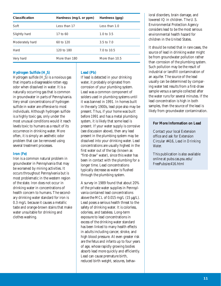| Classification  | Hardness (mg/L or ppm) | Hardness (gpg) |
|-----------------|------------------------|----------------|
| Soft            | Less than 17           | Less than 1.0  |
| Slightly hard   | 17 to 60               | 1.0 to $3.5$   |
| Moderately hard | 60 to 120              | 3.5 to $7.0$   |
| Hard            | 120 to 180             | 7.0 to 10.5    |
| Very hard       | More than 180          | More than 10.5 |

# **Hydrogen Sulfide (H2 S)**

Hydrogen sulfide  $(\mathrm{H}_{2}\mathrm{S})$  is a noxious gas that imparts a disagreeable rotten egg odor when dissolved in water. It is a naturally occurring gas that is common in groundwater in parts of Pennsylvania. Very small concentrations of hydrogen sulfide in water are offensive to most individuals. Although hydrogen sulfide is a highly toxic gas, only under the most unusual conditions would it reach levels toxic to humans as a result of its occurrence in drinking water. More often, it is simply an aesthetic odor problem that can be removed using several treatment processes.

### **Iron (Fe)**

Iron is a common natural problem in groundwater in Pennsylvania that may be worsened by mining activities. It occurs throughout Pennsylvania but is most problematic in the western region of the state. Iron does not occur in drinking water in concentrations of health concern to humans. The secondary drinking water standard for iron is 0.3 mg/L because it causes a metallic taste and orange-brown stains that make water unsuitable for drinking and clothes washing.

### **Lead (Pb)**

If lead is detected in your drinking water, it probably originated from corrosion of your plumbing system. Lead was a common component of solders used in plumbing systems until it was banned in 1991. In homes built in the early 1900s, lead pipe also may be present. Thus, if your home was built before 1991 and has a metal plumbing system, it is likely that some lead is present. If your water supply is corrosive (see discussion above), then any lead present in the plumbing system may be dissolved into your drinking water. Lead concentrations are usually highest in the first water out of the tap (known as "first-draw" water), since this water has been in contact with the plumbing for a longer time. Lead concentrations typically decrease as water is flushed through the plumbing system.

A survey in 1989 found that about 20% of the private water supplies in Pennsylvania contained lead concentrations above the MCL of  $0.015$  mg/L  $(15 \mu g/L)$ . Lead poses a serious health threat to the safety of drinking water. It is colorless, odorless, and tasteless. Long-term exposure to lead concentrations in excess of the drinking water standard has been linked to many health effects in adults including cancer, stroke, and high blood pressure. At even greater risk are the fetus and infants up to four years of age, whose rapidly growing bodies absorb lead more quickly and efficiently. Lead can cause premature birth, reduced birth weight, seizures, behavioral disorders, brain damage, and lowered IQ in children. The U.S. Environmental Protection Agency considers lead to be the most serious environmental health hazard for children in the United States.

It should be noted that in rare cases, the source of lead in drinking water might be from groundwater pollution rather than corrosion of the plumbing system. Such pollution may be the result of industrial or landfill contamination of an aquifer. The source of the lead usually can be determined by comparing water test results from a first-draw sample versus a sample collected after the water runs for several minutes. If the lead concentration is high in both samples, then the source of the lead is likely from groundwater contamination.

### **For More Information on Lead**

Contact your local Extension office and ask for Extension Circular #416, *Lead in Drinking Water.*

This publication is also available online at pubs.cas.psu.edu/ FreePubs/ec416.html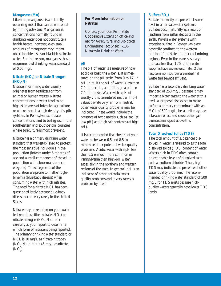### **Manganese (Mn)**

Like iron, manganese is a naturally occurring metal that can be worsened by mining activities. Manganese at concentrations normally found in drinking water does not constitute a health hazard; however, even small amounts of manganese may impart objectionable tastes or blackish stains to water. For this reason, manganese has a recommended drinking water standard of 0.05 mg/L.

# **Nitrate (NO3 ) or Nitrate Nitrogen**  $(NO<sub>3</sub> - N)$

Nitrate in drinking water usually originates from fertilizers or from animal or human wastes. Nitrate concentrations in water tend to be highest in areas of intensive agriculture or where there is a high density of septic systems. In Pennsylvania, nitrate concentrations tend to be highest in the southeastern and southcentral counties where agriculture is most prevalent.

Nitrate has a primary drinking water standard that was established to protect the most sensitive individuals in the population (infants under 6 months of age and a small component of the adult population with abnormal stomach enzymes). These segments of the population are prone to methemoglobinemia (blue baby disease) when consuming water with high nitrates. The need for a nitrate MCL has been questioned lately because blue-baby disease occurs very rarely in the United States.

Nitrate may be reported on your water test report as either nitrate  $(\mathrm{NO}_3^{\phantom i})$  or nitrate-nitrogen ( $\rm NO_{3}$ -N). Look carefully at your report to determine which form of nitrate is being reported. The primary drinking water standard or MCL is 10 mg/L as nitrate-nitrogen ( $NO<sub>3</sub>$ -N), but it is 45 mg/L as nitrate  $(NO<sub>3</sub>)$ .

# **For More Information on Nitrates**

Contact your local Penn State Cooperative Extension office and ask for Agricultural and Biological Engineering Fact Sheet F-136, *Nitrates in Drinking Water.*

# **pH**

The pH of water is a measure of how acidic or basic the water is. It is measured on the pH scale (from 0 to 14) in pH units. If the pH of water is less than 7.0, it is acidic, and if it is greater than 7.0, it is basic. Water with a pH of exactly 7.0 is considered neutral. If pH values deviate very far from neutral, other water quality problems may be indicated. These would include the presence of toxic metals such as lead (at low pH) and high salt contents (at high pH).

It is recommended that the pH of your water be between 6.5 and 8.5 to minimize other potential water quality problems. Acidic water with a pH less than 6.5 is much more common in Pennsylvania than high-pH water, especially in the northern and western regions of the state. In general, pH is an indicator of other potential water quality problems and is very rarely a problem by itself.

# $\text{Sulfate} \left( \text{SO}_4 \right)$

Sulfates normally are present at some level in all private water systems. Sulfates occur naturally as a result of leaching from sulfur deposits in the earth. Private water systems with excessive sulfate in Pennsylvania are generally confined to the western portion of the state or other coal mining regions. Even in these areas, surveys indicate less than 10% of the water supplies have excessive sulfate. Other less common sources are industrial waste and sewage effluent.

Sulfate has a secondary drinking water standard of 250 mg/L because it may impart a bitter taste to the water at this level. A proposal also exists to make sulfate a primary contaminant with an MCL of 500 mg/L, because it may have a laxative effect and cause other gastrointestinal upset above this concentration.

# **Total Dissolved Solids (TDS)**

The total amount of substances dissolved in water is referred to as the total dissolved solids (TDS) content of water. Waters high in TDS often contain objectionable levels of dissolved salts such as sodium chloride. Thus, high TDS may indicate the presence of other water quality problems. The recommended drinking water standard of 500 mg/L for TDS exists because highquality waters generally have lower TDS levels.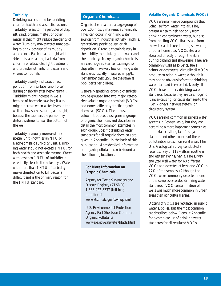# **Turbidity**

Drinking water should be sparkling clear for health and aesthetic reasons. Turbidity refers to fine particles of clay, silt, sand, organic matter, or other material that might reduce the clarity of water. Turbidity makes water unappealing to drink because of its muddy appearance. Particles also might act to shield disease-causing bacteria from chlorine or ultraviolet light treatment and provide nutrients for bacteria and viruses to flourish.

Turbidity usually indicates direct pollution from surface runoff often during or shortly after heavy rainfall. Turbidity might increase in wells because of borehole cave-ins; it also might increase when water levels in the well are low such as during a drought, because the submersible pump may disturb sediments near the bottom of the well.

Turbidity is usually measured in a special unit known as an NTU or Nephelometric Turbidity Unit. Drinking water should not exceed 1 NTU, for both health and aesthetic reasons. Water with less than 1 NTU of turbidity is essentially clear to the naked eye. Water with more than 1 NTU of turbidity makes disinfection to kill bacteria difficult and is the primary reason for the 1 NTU standard.

### **Organic Chemicals**

Organic chemicals are a large group of over 100 mostly man-made chemicals. They can occur in drinking water sources from industrial activity, landfills, gas stations, pesticide use, or air deposition. Organic chemicals vary in their ability to pollute groundwater and their toxicity. Many organic chemicals are carcinogenic (cancer causing), so they often have very low drinking water standards, usually measured in  $\mu$ g/L. Remember that  $\mu$ g/L are the same as ppb (parts per billion).

Generally speaking, organic chemicals can be grouped into two major categories: volatile organic chemicals (VOCs) and nonvolatile or synthetic organic chemicals (SOCs). The discussion below introduces these general groups of organic chemicals and describes in detail the most common examples in each group. Specific drinking water standards for all organic chemicals are given in Appendix I in the back of this publication. More detailed information on organic pollutants can be found at the following locations.

# **For More Information on Organic Chemicals**

Agency for Toxic Substances and Disease Registry (ATSDR) 1-888-422-8737 (toll free) or online at www.atsdr.cdc.gov/toxfaq.html

U.S. Environmental Protection Agency Fact Sheets on Common Organic Pollutants www.epa.gov/safewater/hfacts.html

# **Volatile Organic Chemicals (VOCs)**

VOCs are man-made compounds that volatilize from water into air. They present a health risk not only from drinking contaminated water, but also from inhaling VOCs that escape from the water as it is used during showering or other home uses. VOCs also are absorbed directly through the skin during bathing and showering. They are commonly used as solvents, fuels, paints, or degreasers. Virtually all VOCs produce an odor in water, although it may not be obvious before the drinking water standard is exceeded. Nearly all VOCs have primary drinking water standards, because they are carcinogenic (cancer-causing) or cause damage to the liver, kidneys, nervous system, or circulatory system.

VOCs are not common in private water systems in Pennsylvania, but they are becoming a more important concern as industrial activities, landfills, gas stations, and other sources of these pollutants encroach on rural areas. The U.S. Geological Survey conducted a recent survey of 118 wells in southern and eastern Pennsylvania. The survey analyzed well water for 60 different VOCs and detected at least one VOC in 27% of the samples. (Although the VOCs were commonly detected, none of the samples exceeded drinking water standards.) VOC contamination of wells was much more common in urban areas than agricultural areas.

Dozens of VOCs are regulated in public water supplies, but the most common are described below. Consult Appendix I for a complete list of drinking water standards for all regulated VOCs.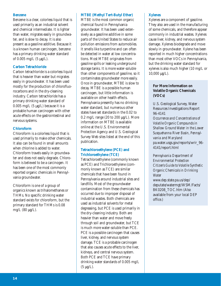### **Benzene**

Benzene is a clear, colorless liquid that is used primarily as an industrial solvent and chemical intermediate. It is lighter than water, migrates easily in groundwater, and is slow to decay. It is also present as a gasoline additive. Because it is a known human carcinogen, benzene has a primary drinking water standard of 0.005 mg/L (5 µg/L).

### **Carbon Tetrachloride**

Carbon tetrachloride is a colorless liquid that is heavier than water but migrates easily in groundwater. It has been used mostly for the production of chlorofluorocarbons and in the dry-cleaning industry. Carbon tetrachloride has a primary drinking water standard of 0.005 mg/L  $(5 \mu g/L)$  because it is a probable human carcinogen with other acute effects on the gastrointestinal and nervous systems.

# **Chloroform**

Chloroform is a colorless liquid that is used primarily to make other chemicals. It also can be found in small amounts when chlorine is added to water. Chloroform travels easily in groundwater and does not easily degrade. Chloroform is believed to be a carcinogen. It has been one of the most commonly reported organic chemicals in Pennsylvania groundwater.

Chloroform is one of a group of organics known as trihalomethanes or THMs. No specific drinking water standard exists for chloroform, but the primary standard for THMs is 0.08 mg/L (80 µg/L).

### **MTBE (Methyl Tert-Butyl Ether)**

MTBE is the most common organic chemical found in Pennsylvania groundwater. It has been used extensively as a gasoline additive in some parts of the United States to reduce air pollution emissions from automobiles. It smells like turpentine and can often be detected in water at low concentrations. Most MTBE originates from gasoline spills or leaking underground storage tanks. It is more water-soluble than other components of gasoline, so it contaminates groundwater more easily. Once in groundwater, MTBE is slow to decay. MTBE is a possible human carcinogen, but little information is available on other health effects. Pennsylvania presently has no drinking water standard, but numerous other states have set standards in the 0.02 to  $0.2 \text{ mg/L range}$  (20 to 200  $\mu$ g/L). More information on MTBE is available online at the U.S. Environmental Protection Agency and U.S. Geological Survey Web sites listed at the end of this publication.

# **Tetrachloroethylene (PCE) and Trichloroethylene (TCE)**

Tetrachloroethylene (commonly known as PCE) and Trichloroethylene (commonly known as TCE) are similar chemicals that have been found in Pennsylvania around industrial sites and landfills. Most of the groundwater contamination from these chemicals has occurred due to improper disposal of industrial wastes. Both chemicals are used as industrial solvents for metal degreasing, but PCE is used primarily in the dry-cleaning industry. Both are heavier than water and move freely through soil and groundwater, but TCE is much more water-soluble than PCE. PCE is a possible carcinogen that causes liver, kidney, and nervous system damage. TCE is a probable carcinogen that also causes acute effects to the liver, kidneys, and central nervous system. Both PCE and TCE have primary drinking water standards of 0.005 mg/L  $(5 \mu g/L)$ .

# **Xylenes**

Xylenes are a component of gasoline. They also are used in the manufacturing of some chemicals, and therefore appear commonly in industrial wastes. Xylenes cause liver, kidney, and nervous system damage. Xylenes biodegrade and move slowly in groundwater. Xylene has been reported in much higher concentrations than most other VOCs in Pennsylvania, but the drinking water standard for xylenes is also much higher (10 mg/L or  $10,000 \mu g/L$ ).

# **For More Information on Volatile Organic Chemicals (VOCs)**

U.S. Geological Survey, Water Resources Investigations Report 96-4141

*Occurrence and Concentrations of Volatile Organic Compounds in Shallow Ground Water in the Lower Susquehanna River Basin, Pennsylvania and Maryland* pa.water.usgs.gov/reports/wrir\_96- 4141/report.html

*Pennsylvania Department of Environmental Protection Citizen's Guide to Volatile Synthetic Organic Chemicals in Drinking Water* www.dep.state.pa.us/dep/

deputate/watermgt/WSM/Facts/ BK0208\_TOC.htm (Also available from your local DEP office.)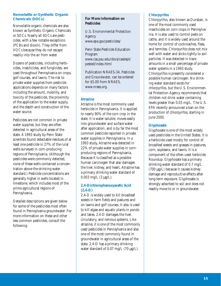### **Nonvolatile or Synthetic Organic Chemicals (SOCs)**

Nonvolatile organic chemicals are also known as Synthetic Organic Chemicals or SOCs. Nearly all SOCs are pesticides, with a few notable exceptions (PCBs and dioxin). They differ from VOCs because they do not escape readily into the air from water.

Dozens of pesticides, including herbicides, insecticides, and fungicides, are used throughout Pennsylvania on crops, golf courses, and lawns. The risk to private water supplies from pesticide applications depends on many factors including the amount, mobility, and toxicity of the pesticide, the proximity of the application to the water supply, and the depth and construction of the water source.

Pesticides are not common in private water supplies, but they are often detected in agricultural areas of the state. A 1993 study by Penn State scientists found detectable residues of at least one pesticide in 27% of the rural wells surveyed in corn-producing regions of Pennsylvania. (Although the pesticides were commonly detected, none of these wells contained a concentration above the drinking water standard.) Pesticide concentrations are generally higher in wells located in limestone, which includes most of the prime agricultural regions of Pennsylvania.

Detailed descriptions are given below for some of the pesticides most often found in Pennsylvania groundwater. For more information on these and other less common pesticides, consult the following:

# **For More Information on Pesticides**

U.S. Environmental Protection Agency www.epa.gov/pesticides/

Penn State Pesticide Education Program www.cas.psu.edu/docs/casdept/ pested/index.html

Publication NRAES-34, *Pesticides and Groundwater*, can be ordered for \$5.00 from NRAES, www.nraes.org.

# **Atrazine**

Atrazine is the most commonly used herbicide in Pennsylvania. It is applied to nearly 90% of the corn crop in the state. It is water-soluble, moves easily into groundwater and surface water after application, and is by far the most common pesticide reported in private water supplies in Pennsylvania. In a 1993 study, Atrazine was detected in 22% of private water supplies in cornproducing regions of Pennsylvania. Because it is classified as a possible human carcinogen that also damages the liver, kidney, and heart, Atrazine has a primary drinking water standard of  $0.003$  mg/L  $(3 \mu g/L)$ .

# **2,4-Dichlorophenoxyacetic Acid (2,4-D)**

2,4-D is widely used to kill broadleaf weeds in farm fields and pastures and on lawns and golf courses. It also is used to kill algae and aquatic plants in ponds and lakes. 2,4-D damages the liver, circulatory, and nervous systems. Like atrazine, it is one of the most commonly used pesticides in Pennsylvania and also one of the most commonly found in groundwater in agricultural areas of the state. 2,4-D has a primary drinking water standard of 0.07 mg/L (70 µg/L).

# **Chlorpyrifos**

Chlorpyrifos, also known as Dursban, is one of the most commonly used insecticides on corn crops in Pennsylvania. It is also used to control pests on cattle, and it is widely used around the home for control of cockroaches, fleas, and termites. Chlorpyrifos does not mix well with water and sticks tightly to soil particles. It was detected in trace amounts in a small percentage of private water systems in a 1993 study. Chlorpyrifos is presently considered a possible human carcinogen. No drinking water standard exists for chlorpyrifos, but the U.S. Environmental Protection Agency recommends that children not drink water containing levels greater than 0.03 mg/L. The U.S. EPA recently announced a ban on the production of chlorpyrifos, starting in June 2000.

# **Glyphosate**

Glyphosate is one of the most widely used pesticides in the United States. It is a herbicide used mostly for control of broadleaf weeds and grasses in pastures, corn, soybeans, and lawns. It is a component of the often-used herbicide Roundup. Glyphosate has a primary drinking water standard of 0.7 mg/L (700 µg/L) because it causes kidney damage and reproductive effects after long-term exposure. Glyphosate is strongly adsorbed to soil and does not readily move to or in groundwater.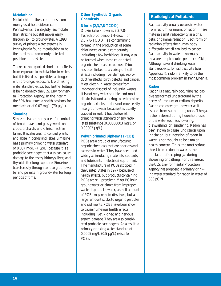### **Metolachlor**

Metolachlor is the second most commonly used herbicide on corn in Pennsylvania. It is slightly less mobile than atrazine but still moves easily through soil to groundwater. A 1993 survey of private water systems in Pennsylvania found metolachlor to be the third most commonly detected pesticide in the state.

There are no reported short-term effects from exposure to metolachlor in water, but it is listed as a possible carcinogen with prolonged exposure. No drinking water standard exists, but further testing is being done by the U.S. Environmental Protection Agency. In the interim, the EPA has issued a health advisory for metolachlor of 0.07 mg/L (70 µg/L).

### **Simazine**

Simazine is commonly used for control of broad-leaved and grassy weeds on crops, orchards, and Christmas tree farms. It is also used to control plants and algae in ponds and lakes. Simazine has a primary drinking water standard of 0.004 mg/L  $(4 \mu g/L)$  because it is a probable carcinogen that also can cause damage to the testes, kidneys, liver, and thyroid after long exposure. Simazine travels easily through soils to groundwater and persists in groundwater for long periods of time.

# **Other Synthetic Organic Chemicals**

### **Dioxin (2,3,7,8-TCDD)**

Dioxin (also known as 2,3,7,8- Tetrachlorodibenzo-1,4-dioxin or 2,3,7,8-TCDD) is a contaminant formed in the production of some chlorinated organic compounds, including a few herbicides. It may also be formed when some chlorinated organic chemicals are burned. Dioxin has been linked to a variety of health effects including liver damage, reproductive effects, birth defects, and cancer. Most dioxin in water comes from improper disposal of industrial wastes. It is not very water-soluble, and most dioxin is found adhering to sediment or organic particles. It does not move easily into groundwater because it is usually trapped in soil. It has the lowest drinking water standard of any regulated substance (0.00000003 mg/L or 0.00003 µg/L).

# **Polychlorinated Biphenyls (PCBs)**

PCBs are a group of manufactured organic chemicals that are odorless and tasteless in water. They have been used widely as insulating materials, coolants, and lubricants in electrical equipment. The manufacture of PCBs stopped in the United States in 1977 because of health effects, but products containing PCBs are still prevalent. Most PCBs in groundwater originate from improper waste disposal. In water, a small amount of PCBs may remain dissolved, but a larger amount sticks to organic particles and sediments. PCBs have been shown to cause numerous health effects including liver, kidney, and nervous system damage. They are also considered probable carcinogens. As a result, a primary drinking water standard of 0.0005 mg/L (0.5 µg/L) exists for PCBs.

# **Radiological Pollutants**

Radioactivity usually occurs in water from radium, uranium, or radon. These materials emit radioactivity as alpha, beta, or gamma radiation. Each form of radiation affects the human body differently, yet all can lead to cancer. Radioactivity in water is normally measured in picocuries per liter (pCi/L). Although several drinking water standards exist for radioactivity (see Appendix I), radon is likely to be the most common problem in Pennsylvania.

# **Radon**

Radon is a naturally occurring radioactive gas formed underground by the decay of uranium or radium deposits. Radon can enter groundwater as it escapes from surrounding rocks. The gas is then released during household uses of the water such as showering, dishwashing, or laundering. Radon has been shown to cause lung cancer upon inhalation, but ingestion of radon in water is not thought to be a major health concern. Thus, the most serious threat from radon in water is the inhalation of escaping gas during showering or bathing. For this reason, the U.S. Environmental Protection Agency has proposed a primary drinking water standard for radon in water of 300 pCi/L.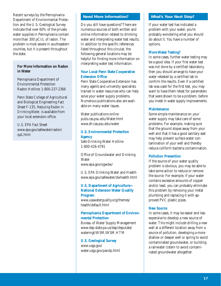Recent surveys by the Pennsylvania Department of Environmental Protection and the U.S. Geological Survey indicate that over 60% of the private water supplies in Pennsylvania contain more than 300 pCi/L of radon. The problem is most severe in southeastern counties, but it is present throughout the state.

# **For More Information on Radon in Water**

Pennsylvania Department of Environmental Protection Radon Hotline: 1-800-237-2366

Penn State College of Agricultural and Biological Engineering Fact Sheet F-135, *Reducing Radon in Drinking Water,* is available from your local extension office.

U.S. EPA Fact Sheet www.epa.gov/safewater/radon/ qa1.html

### **Need More Information?**

Do you still have questions? There are numerous sources of both written and online information related to drinking water and interpreting water test results. In addition to the specific references listed throughout this circular, the following general locations may be helpful for finding more information on interpreting water test information.

### **Your Local Penn State Cooperative Extension Office**

Penn State Cooperative Extension has many agents and university specialists trained in water resources who can help solve your water supply problems. Numerous publications also are available on many water issues.

Water publications online pubs.cas.psu.edu/Water.html www.sfr.cas.psu.edu/water

### **U.S. Environmental Protection Agency**

Safe Drinking Water Hotline 1-800-426-4791

Office of Groundwater and Drinking **Water** www.epa.gov/ogwdw/

U.S. EPA Drinking Water and Health www.epa.gov/safewater/dwhealth.html

# **U.S. Department of Agriculture— National Extension Water Quality Program**

www.usawaterquality.org/themes/ health/default.html

# **Pennsylvania Department of Environmental Protection**

Bureau of Water Supply Management www.dep.state.pa.us/dep/deputate/ watermgt/WSM/WSM.HTM

# **U.S. Geological Survey**

www.usgs.gov/ water.usgs.gov/pandp.html

# **What's Your Next Step?**

If your water test has indicated a problem with your water, you're probably wondering what you should do about it. You have a number of options.

### **More Water Testing?**

In some cases, further water testing may be a good idea. If your first water test was not done by a certified laboratory, then you should arrange to have your water retested by a certified lab to confirm the results. Even if a certified lab was used for the first test, you may want to have them retest for parameters that were shown to be a problem, before you invest in water supply improvements.

# **Maintenance**

Some simple maintenance on your water supply may take care of some problems. For example, making sure that the ground slopes away from your well and that it has a good sanitary seal may help prevent surface water contamination of your well and thereby reduce coliform bacteria contamination.

### **Pollution Prevention**

If the source of your water quality problem is obvious, you may be able to take some action to reduce or remove the source. For example, if your water contains excessive amounts of copper and/or lead, you can probably eliminate this problem by removing your metal plumbing and replacing it with approved PVC plastic pipes.

# **New Source**

In some cases, it may be easier and less expensive to develop a new source of water. This might include drilling a new well at a different location away from a source of pollution, developing a more shallow or deeper well or spring to avoid contaminated groundwater, or building a rainwater cistern to avoid contaminated groundwater altogether.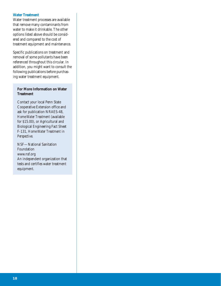### **Water Treatment**

Water treatment processes are available that remove many contaminants from water to make it drinkable. The other options listed above should be considered and compared to the cost of treatment equipment and maintenance.

Specific publications on treatment and removal of some pollutants have been referenced throughout this circular. In addition, you might want to consult the following publications before purchasing water treatment equipment.

### **For More Information on Water Treatment**

Contact your local Penn State Cooperative Extension office and ask for publication NRAES-48, *Home Water Treatment* (available for \$15.00), or Agricultural and Biological Engineering Fact Sheet F-131, *Home Water Treatment in Perspective*.

NSF—National Sanitation Foundation www.nsf.org An independent organization that tests and certifies water treatment equipment.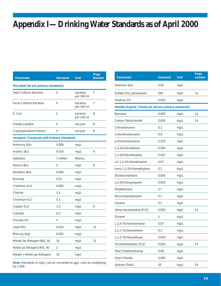# **Appendix I—Drinking Water Standards as of April 2000**

| <b>Parameter</b>                                  | <b>Standard</b> | <b>Unit</b>            | Page<br><b>Number</b> |  |  |
|---------------------------------------------------|-----------------|------------------------|-----------------------|--|--|
| Microbial (all are primary standards)             |                 |                        |                       |  |  |
| <b>Total Coliform Bacteria</b>                    | 0               | bacteria<br>per 100 ml | 7                     |  |  |
| <b>Fecal Coliform Bacteria</b>                    | 0               | bacteria<br>per 100 ml | 7                     |  |  |
| E. Coli                                           | 0               | bacteria<br>per 100 ml | 8                     |  |  |
| Giardia Lamblia                                   | 0               | oocysts                | 8                     |  |  |
| Cryptosporidium Parvum                            | 0               | oocysts                | 8                     |  |  |
| <b>Inorganic Chemicals with Primary Standards</b> |                 |                        |                       |  |  |
| Antimony (Sb)                                     | 0.006           | mg/L                   |                       |  |  |
| Arsenic (As)                                      | 0.010           | mq/L                   | 9                     |  |  |
| Asbestos                                          | 7 million       | fibers/L               |                       |  |  |
| Barium (Ba)                                       | 2               | mg/L                   | 9                     |  |  |
| Beryllium (Be)                                    | 0.004           | mg/L                   |                       |  |  |
| <b>Bromate</b>                                    | 0.01            | mg/L                   |                       |  |  |
| Cadmium (Cd)                                      | 0.005           | mg/L                   |                       |  |  |
| Chlorite                                          | 1.0             | mg/L                   |                       |  |  |
| Chromium (Cr)                                     | 0.1             | mg/L                   |                       |  |  |
| Copper (Cu)                                       | 1.3             | mq/L                   | 9                     |  |  |
| Cyanide                                           | 0.2             | mg/L                   |                       |  |  |
| Fluoride (FI)                                     | 4               | mg/L                   |                       |  |  |
| Lead (Pb)                                         | 0.015           | mg/L                   | 11                    |  |  |
| Mercury (Hg)                                      | 0.002           | mg/L                   |                       |  |  |
| Nitrate (as Nitrogen) (NO <sub>3</sub> -N)        | 10              | mg/L                   | 12                    |  |  |
| Nitrite (as Nitrogen) (NO <sub>2</sub> -N)        | 1               | mg/L                   |                       |  |  |
| Nitrate + Nitrite (as Nitrogen)                   | 10              | mg/L                   |                       |  |  |

Note: Standards in mg/L can be converted to µg/L units by multiplying by 1,000.

| Parameter                                                     | <b>Standard</b> | Unit | Page<br>number |
|---------------------------------------------------------------|-----------------|------|----------------|
| Selenium (Se)                                                 | 0.05            | mg/L |                |
| Sulfate (SO <sub>4</sub> ) (proposed)                         | 500             | mg/L | 12             |
| Thallium (TI)                                                 | 0.002           | mq/L |                |
| <b>Volatile Organic Chemicals (all are primary standards)</b> |                 |      |                |
| Benzene                                                       | 0.005           | mg/L | 14             |
| Carbon Tetrachloride                                          | 0.005           | mg/L | 14             |
| Chlorobenzene                                                 | 0.1             | mg/L |                |
| o-Dichlorobenzene                                             | 0.6             | mg/L |                |
| p-Dichlorobenzene                                             | 0.075           | mg/L |                |
| 1,2-Dichloroethane                                            | 0.005           | mg/L |                |
| 1,1-Dichloroethylene                                          | 0.007           | mg/L |                |
| cis-1,2-Dichloroethylene                                      | 0.07            | mg/L |                |
| trans-1,2-Dichloroethylene                                    | 0.1             | mg/L |                |
| Dichloromethane                                               | 0.005           | mg/L |                |
| 1,2-Dichloropropane                                           | 0.005           | mg/L |                |
| Ethylbenzene                                                  | 0.7             | mg/L |                |
| Monochlorobenzene                                             | 0.1             | mg/L |                |
| <b>Styrene</b>                                                | 0.1             | mg/L |                |
| Tetrachloroethylene (PCE)                                     | 0.005           | mg/L | 14             |
| Toluene                                                       | 1               | mq/L |                |
| 1,2,4-Trichlorobenzene                                        | 0.07            | mg/L |                |
| 1,1,1-Trichloroethane                                         | 0.2             | mg/L |                |
| 1,1,2-Trichloroethane                                         | 0.005           | mg/L |                |
| Trichloroethylene (TCE)                                       | 0.005           | mg/L | 14             |
| <b>Total Trihalomethanes</b>                                  | 0.08            | mg/L |                |
| Vinyl Chloride                                                | 0.002           | mg/L |                |
| Xylenes (Total)                                               | 10              | mg/L | 14             |
|                                                               |                 |      |                |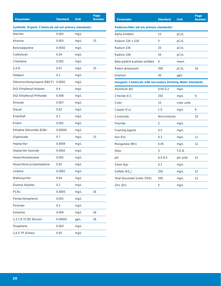| <b>Parameter</b>                                        | <b>Standard</b> | <b>Unit</b> | Page<br><b>Number</b> |  |
|---------------------------------------------------------|-----------------|-------------|-----------------------|--|
| Synthetic Organic Chemicals (all are primary standards) |                 |             |                       |  |
| Alachlor                                                | 0.002           | mg/L        |                       |  |
| Atrazine                                                | 0.003           | mg/L        | 15                    |  |
| Benzo(a)pyrene                                          | 0.0002          | mg/L        |                       |  |
| Carbofuran                                              | 0.04            | mg/L        |                       |  |
| Chlordane                                               | 0.002           | mg/L        |                       |  |
| $2,4-D$                                                 | 0.07            | mg/L        | 15                    |  |
| Dalapon                                                 | 0.2             | mg/L        |                       |  |
| Dibromochloropropane (DBCP)                             | 0.0002          | mg/L        |                       |  |
| Di(2-Ethylhexyl) Adipate                                | 0.4             | mg/L        |                       |  |
| Di(2-Ethylhexyl) Phthalate                              | 0.006           | mg/L        |                       |  |
| Dinoseb                                                 | 0.007           | mg/L        |                       |  |
| Diquat                                                  | 0.02            | mg/L        |                       |  |
| Endothall                                               | 0.1             | mg/L        |                       |  |
| Endrin                                                  | 0.002           | mg/L        |                       |  |
| Ethylene Dibromide (EDB)                                | 0.00005         | mg/L        |                       |  |
| Glyphosate                                              | 0.7             | mg/L        | 15                    |  |
| Heptachlor                                              | 0.0004          | mg/L        |                       |  |
| Heptachlor Epoxide                                      | 0.0002          | mg/L        |                       |  |
| Hexachlorobenzene                                       | 0.001           | mg/L        |                       |  |
| Hexachlorocyclopentadiene                               | 0.05            | mg/L        |                       |  |
| Lindane                                                 | 0.0002          | mg/L        |                       |  |
| Methoxychlor                                            | 0.04            | mg/L        |                       |  |
| Oxamyl (Vydate)                                         | 0.2             | mg/L        |                       |  |
| <b>PCBs</b>                                             | 0.0005          | mg/L        | 16                    |  |
| Pentachlorophenol                                       | 0.001           | mg/L        |                       |  |
| Picloram                                                | 0.5             | mg/L        |                       |  |
| Simazine                                                | 0.004           | mg/L        | 16                    |  |
| 2,3,7,8-TCDD (Dioxin)                                   | 0.00003         | µg/L        | 16                    |  |
| Toxaphene                                               | 0.003           | mg/L        |                       |  |
| 2,4,5-TP (Silvex)                                       | 0.05            | mg/L        |                       |  |

| Parameter                                                          | <b>Standard</b> | Unit        | Page<br><b>Number</b> |  |
|--------------------------------------------------------------------|-----------------|-------------|-----------------------|--|
| Radionuclides (all are primary standards)                          |                 |             |                       |  |
| Alpha emitters                                                     | 15              | pCi/L       |                       |  |
| Radium 226 + 228                                                   | 5               | pCi/L       |                       |  |
| Radium 226                                                         | 20              | pCi/L       |                       |  |
| Radium 228                                                         | 20              | pCi/L       |                       |  |
| Beta-particle & photon emitters                                    | 4               | mrem        |                       |  |
| Radon (proposed)                                                   | 300             | pCi/L       | 16                    |  |
| Uranium                                                            | 30              | $\mu$ g/L   |                       |  |
| <b>Inorganic Chemicals with Secondary Drinking Water Standards</b> |                 |             |                       |  |
| Aluminum (Al)                                                      | $0.05 - 0.2$    | mg/L        |                       |  |
| Chloride (CI)                                                      | 250             | mg/L        | 9                     |  |
| Color                                                              | 15              | color units |                       |  |
| Copper (Cu)                                                        | 1.0             | mg/L        | 9                     |  |
| Corrosivity                                                        | Noncorrosive    |             | 10                    |  |
| Fluoride                                                           | $\overline{2}$  | mq/L        |                       |  |
| <b>Foaming Agents</b>                                              | 0.5             | mg/L        |                       |  |
| Iron (Fe)                                                          | 0.3             | mg/L        | 11                    |  |
| Manganese (Mn)                                                     | 0.05            | mg/L        | 12                    |  |
| Odor                                                               | 3               | T.O.N.      |                       |  |
| pH                                                                 | $6.5 - 8.5$     | pH units    | 12                    |  |
| Silver (Ag)                                                        | 0.1             | mg/L        |                       |  |
| Sulfate (SO <sub>4</sub> )                                         | 250             | mg/L        | 12                    |  |
| <b>Total Dissolved Solids (TDS)</b>                                | 500             | mg/L        | 12                    |  |
| Zinc (Zn)                                                          | 5               | mq/L        |                       |  |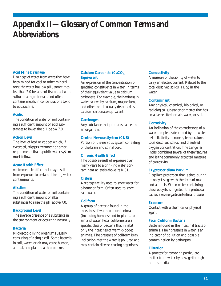# **Appendix II—Glossary of Common Terms and Abbreviations**

# **Acid Mine Drainage**

Drainage of water from areas that have been mined for coal or other mineral ores; the water has low pH, sometimes less than 2.0 because of its contact with sulfur-bearing minerals, and often contains metals in concentrations toxic to aquatic life.

### **Acidic**

The condition of water or soil containing a sufficient amount of acid substances to lower the pH below 7.0.

### **Action Level**

The level of lead or copper which, if exceeded, triggers treatment or other requirements that a public water system must follow.

### **Acute Health Effect**

An immediate effect that may result from exposure to certain drinking water contaminants.

### **Alkaline**

The condition of water or soil containing a sufficient amount of alkali substances to raise the pH above 7.0.

### **Background Level**

The average presence of a substance in the environment or occurring naturally.

### **Bacteria**

Microscopic living organisms usually consisting of a single cell. Some bacteria in soil, water, or air may cause human, animal, and plant health problems.

# **Calcium Carbonate (CaCO<sub>3</sub>) Equivalent**

An expression of the concentration of specified constituents in water, in terms of their equivalent value to calcium carbonate. For example, the hardness in water caused by calcium, magnesium, and other ions is usually described as calcium carbonate equivalent.

### **Carcinogen**

Any substance that produces cancer in an organism.

### **Central Nervous System (CNS)**

Portion of the nervous system consisting of the brain and spinal cord.

### **Chronic Health Effect**

The possible result of exposure over many years to a drinking water contaminant at levels above its MCL.

### **Cistern**

A storage facility used to store water for a home or farm. Often used to store rain water.

### **Coliform**

A group of bacteria found in the intestines of warm-blooded animals (including humans) and in plants, soil, air, and water. Fecal coliforms are a specific class of bacteria that inhabit only the intestines of warm-blooded animals. The presence of coliform is an indication that the water is polluted and may contain disease-causing organisms.

### **Conductivity**

A measure of the ability of water to carry an electric current. Related to the total dissolved solids (TDS) in the water.

### **Contaminant**

Any physical, chemical, biological, or radiological substance or matter that has an adverse effect on air, water, or soil.

### **Corrosivity**

An indication of the corrosiveness of a water sample, as described by the water pH, alkalinity, hardness, temperature, total dissolved solids, and dissolved oxygen concentration. The Langelier Index combines several of these features and is the commonly accepted measure of corrosivity.

### *Cryptosporidium Parvum*

Flagellate protozoan that is shed during its oocyst stage with the feces of man and animals. When water containing these oocysts is ingested, the protozoan causes a severe gastrointestinal disease.

### **Exposure**

Contact with a chemical or physical agent.

### **Fecal Coliform Bacteria**

Bacteria found in the intestinal tracts of animals. Their presence in water is an indicator of pollution and possible contamination by pathogens.

### **Filtration**

A process for removing particulate matter from water by passage through porous media.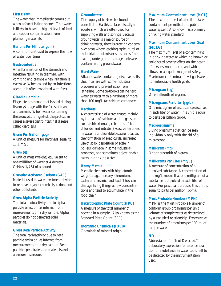### **First Draw**

The water that immediately comes out when a faucet is first opened. This water is likely to have the highest levels of lead and copper contamination from plumbing materials.

### **Gallons Per Minute (gpm)**

A common unit used to express the flow of water over time.

### **Gastroenteritis**

An inflammation of the stomach and intestine resulting in diarrhea, with vomiting and cramps when irritation is excessive. When caused by an infectious agent, it is often associated with fever.

# *Giardia Lamblia*

Flagellate protozoan that is shed during its oocyst stage with the feces of man and animals. When water containing these oocysts is ingested, the protozoan causes a severe gastrointestinal disease called giardiasis.

### **Grain Per Gallon (gpg)**

A unit of measure for hardness, equal to 17.1 mg/L.

### **Gram (g)**

A unit of mass (weight) equivalent to one milliliter of water at 4 degrees Celsius. 1/454 of a pound.

### **Granular Activated Carbon (GAC)**

Material used in water treatment devices to remove organic chemicals, radon, and other pollutants.

### **Gross Alpha Particle Activity**

The total radioactivity due to alpha particle emission, as inferred from measurements on a dry sample. Alpha particles do not penetrate solid materials.

### **Gross Beta Particle Activity**

The total radioactivity due to beta particle emission, as inferred from measurements on a dry sample. Beta particles penetrate solid materials and are more hazardous.

### **Groundwater**

The supply of fresh water found beneath the Earth's surface. Usually in aquifers, which are often used for supplying wells and springs. Because groundwater is a major source of drinking water, there is growing concern over areas where leaching agricultural or industrial pollutants or substances from leaking underground storage tanks are contaminating groundwater.

### **Hard Water**

Alkaline water containing dissolved salts that interfere with some industrial processes and prevent soap from lathering. Some textbooks define hard water as water with a hardness of more than 100 mg/L (as calcium carbonate).

### **Hardness**

A characteristic of water caused mainly by the salts of calcium and magnesium such as bicarbonate, calcium sulfate, chloride, and nitrate. Excessive hardness in water is undesirable because it causes the formation of soap curds, increased use of soap, deposition of scale in boilers, damage in some industrial processes, and sometimes objectionable tastes in drinking water.

### **Heavy Metals**

Metallic elements with high atomic weights; e.g., mercury, chromium, cadmium, arsenic, and lead. They can damage living things at low concentrations and tend to accumulate in the food chain.

### **Heterotrophic Plate Count (HPC)**

A measure of the total number of bacteria in a sample. Also known as the Standard Plate Count (SPC).

# **Inorganic Chemicals (IOCs)**

Chemicals of mineral origin.

### **Maximum Contaminant Level (MCL)**

The maximum level of a health-related contaminant permitted in a public water system. Also known as a primary drinking water standard.

# **Maximum Contaminant Level Goal (MCLG)**

The maximum level of a contaminant in drinking water at which no known or anticipated adverse effect on the health of persons would occur, and which allows an adequate margin of safety. Maximum contaminant level goals are nonenforceable health goals.

### **Microgram (**µ**g)**

One-millionth of a gram.

### **Micrograms Per Liter (**µ**g/L)**

One microgram of a substance dissolved in each liter of water. This unit is equal to parts per billion (ppb).

### **Microorganisms**

Living organisms that can be seen individually only with the aid of a microscope.

### **Milligram (mg)**

One-thousandth of a gram.

### **Milligrams Per Liter (mg/L)**

A measure of concentration of a dissolved substance. A concentration of one mg/L means that one milligram of a substance is dissolved in each liter of water. For practical purposes, this unit is equal to parts per million (ppm).

### **Most Probable Number (MPN)**

MPN is the Most Probable Number of coliform group organisms per unit volume of sample water as determined by a statistical relationship. Expressed as the number of organisms per 100 ml of sample water.

### **ND**

Abbreviation for "Not Detected." Laboratory expression for a concentration of a substance in water too small to be detected by the instrumentation used.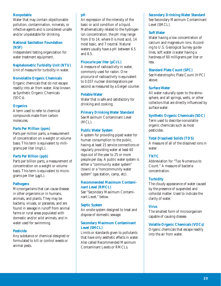# **Nonpotable**

Water that may contain objectionable pollution, contamination, minerals, or infective agents and is considered unsafe and/or unpalatable for drinking.

# **National Sanitation Foundation (NSF)**

Independent testing organization for water treatment equipment.

# **Nephelometric Turbidity Unit (NTU)**

Unit of measure for turbidity in water.

### **Nonvolatile Organic Chemicals**

Organic chemicals that do not escape readily into air from water. Also known as Synthetic Organic Chemicals (SOCs).

### **Organics**

A term used to refer to chemical compounds made from carbon molecules.

# **Parts Per Million (ppm)**

Parts per million parts, a measurement of concentration on a weight or volume basis. This term is equivalent to milligrams per liter (mg/L).

### **Parts Per Billion (ppb)**

Parts per billion parts, a measurement of concentration on a weight or volume basis. This term is equivalent to micrograms per liter  $(\mu g/L)$ .

### **Pathogens**

Microorganisms that can cause disease in other organisms or in humans, animals, and plants. They may be bacteria, viruses, or parasites, and are found in sewage in runoff from animal farms or rural areas populated with domestic and/or wild animals, and in water used for swimming.

### **Pesticide**

Any substance or chemical designed or formulated to kill or control weeds or animal pests.

# **pH**

An expression of the intensity of the basic or acid condition of a liquid. Mathematically related to the hydrogen ion concentration, the pH may range from 0 to 14, where 0 is most acid, 14 most basic, and 7 neutral. Natural waters usually have a pH between 6.5 and 8.5.

# **Picocurie per liter (pCi/L)**

A measure of radioactivity in water, commonly used for radon. One picocurie of radioactivity is equivalent to 0.037 nuclear disintegrations per second as measured by a Geiger counter.

### **Potable Water**

Water that is safe and satisfactory for drinking and cooking.

### **Primary Drinking Water Standard**

See Maximum Contaminant Level  $(MCI)$ .

### **Public Water System**

A system for providing piped water for human consumption to the public, having at least 15 service connections or regularly providing water at least 60 days out of the year to 25 or more people per day. A public water system is either a "community water system" (town) or a "noncommunity water system" (gas station, camp, etc).

### **Recommended Maximum Contaminant Level (RMCL)**

See "Secondary Maximum Contaminant Level," below.

### **Septic System**

An onsite system designed to treat and dispose of domestic sewage.

# **Secondary Maximum Contaminant Level (SMCL)**

Limits or standards given to pollutants that have only aesthetic effects in water. Also called Recommended Maximum Contaminant Levels or RMCLs.

### **Secondary Drinking Water Standard**

See Secondary Maximum Contaminant Level (SMCL).

### **Soft Water**

Water having a low concentration of calcium and magnesium ions. According to U.S. Geological Survey guidelines, soft water is water having a hardness of 60 milligrams per liter or less.

### **Standard Plate Count (SPC)**

See Heterotrophic Plate Count (HPC) above.

### **Surface Water**

All water naturally open to the atmosphere, and all springs, wells, or other collectors that are directly influenced by surface water.

### **Synthetic Organic Chemicals (SOC)**

Term used to describe nonvolatile organic chemicals such as most pesticides.

### **Total Dissolved Solids (TDS)**

A measure of all of the dissolved ions in water.

### **TNTC**

Abbreviation for "Too Numerous to Count." A measure of bacteria concentration.

### **Turbidity**

The cloudy appearance of water caused by the presence of suspended and colloidal matter. Used to indicate the clarity of water.

### **Virus**

The smallest form of microorganism capable of causing disease.

### **Volatile Organic Chemicals (VOCs)**

Organic chemicals that escape readily into the air from water.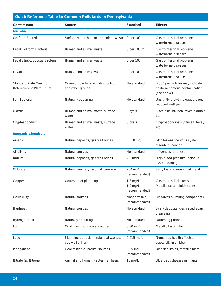| <b>Quick Reference Table to Common Pollutants in Pennsylvania</b> |                                                           |                                           |                                                                                     |  |
|-------------------------------------------------------------------|-----------------------------------------------------------|-------------------------------------------|-------------------------------------------------------------------------------------|--|
| Contaminant                                                       | Source                                                    | <b>Standard</b>                           | <b>Effects</b>                                                                      |  |
| <b>Microbial</b>                                                  |                                                           |                                           |                                                                                     |  |
| Coliform Bacteria                                                 | Surface water, human and animal waste 0 per 100 ml        |                                           | Gastrointestinal problems,<br>waterborne diseases                                   |  |
| <b>Fecal Coliform Bacteria</b>                                    | Human and animal waste                                    | 0 per 100 ml                              | Gastrointestinal problems,<br>waterborne diseases                                   |  |
| Fecal Streptococcus Bacteria                                      | Human and animal waste                                    | 0 per 100 ml                              | Gastrointestinal problems,<br>waterborne diseases                                   |  |
| E. Coli                                                           | Human and animal waste                                    | 0 per 100 ml                              | Gastrointestinal problems,<br>waterborne diseases                                   |  |
| <b>Standard Plate Count or</b><br>Heterotrophic Plate Count       | Common bacteria including coliform<br>and other groups    | No standard                               | > 500 per milliliter may indicate<br>coliform bacteria contamination<br>(see above) |  |
| Iron Bacteria                                                     | Naturally occurring                                       | No standard                               | Unsightly growth, clogged pipes,<br>reduced well yield                              |  |
| Giardia                                                           | Human and animal waste, surface<br>water                  | 0 cysts                                   | Giardiasis (nausea, fever, diarrhea,<br>etc.)                                       |  |
| Cryptosporidium                                                   | Human and animal waste, surface<br>water                  | 0 cysts                                   | Cryptosporidiosis (nausea, fever,<br>$etc.$ )                                       |  |
| <b>Inorganic Chemicals</b>                                        |                                                           |                                           |                                                                                     |  |
| Arsenic                                                           | Natural deposits, gas well brines                         | 0.010 mg/L                                | Skin lesions, nervous system<br>disorders, cancer                                   |  |
| Alkalinity                                                        | Natural sources                                           | No standard                               | Influences hardness                                                                 |  |
| <b>Barium</b>                                                     | Natural deposits, gas well brines                         | $2.0$ mg/L                                | High blood pressure, nervous<br>system damage                                       |  |
| Chloride                                                          | Natural sources, road salt, sewage                        | 250 mg/L<br>(recommended)                 | Salty taste, corrosion of metal                                                     |  |
| Copper                                                            | Corrosion of plumbing                                     | $1.3$ mg/L<br>$1.0$ mg/L<br>(recommended) | Gastrointestinal illness<br>Metallic taste, bluish stains                           |  |
| Corrosivity                                                       | Natural sources                                           | Noncorrosive<br>(recommended)             | Dissolves plumbing components                                                       |  |
| Hardness                                                          | Natural sources                                           | No standard                               | Scaly deposits, decreased soap<br>cleansing                                         |  |
| Hydrogen Sulfide                                                  | Naturally occurring                                       | No standard                               | Rotten egg odor                                                                     |  |
| Iron                                                              | Coal mining or natural sources                            | $0.30$ mg/L<br>(recommended)              | Metallic taste, stains                                                              |  |
| Lead                                                              | Plumbing corrosion, industrial wastes,<br>gas well brines | 0.015 mg/L                                | Numerous health effects,<br>especially in children                                  |  |
| Manganese                                                         | Coal mining or natural sources                            | $0.05$ mg/L<br>(recommended)              | Blackish stains, metallic taste                                                     |  |
| Nitrate (as Nitrogen)                                             | Animal and human wastes, fertilizers                      | 10 mg/L                                   | Blue-baby disease in infants                                                        |  |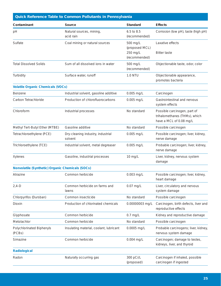| <b>Quick Reference Table to Common Pollutants in Pennsylvania</b> |                                              |                             |                                                                                          |  |
|-------------------------------------------------------------------|----------------------------------------------|-----------------------------|------------------------------------------------------------------------------------------|--|
| Contaminant                                                       | Source                                       | <b>Standard</b>             | <b>Effects</b>                                                                           |  |
| pH                                                                | Natural sources, mining,<br>acid rain        | 6.5 to 8.5<br>(recommended) | Corrosion (low pH), taste (high pH)                                                      |  |
| Sulfate                                                           | Coal mining or natural sources               | 500 mg/L<br>(proposed MCL)  | Laxative effects                                                                         |  |
|                                                                   |                                              | 250 mg/L<br>(recommended)   | <b>Bitter taste</b>                                                                      |  |
| <b>Total Dissolved Solids</b>                                     | Sum of all dissolved ions in water           | 500 mg/L<br>(recommended)   | Objectionable taste, odor, color                                                         |  |
| Turbidity                                                         | Surface water, runoff                        | <b>1.0 NTU</b>              | Objectionable appearance,<br>promotes bacteria                                           |  |
| <b>Volatile Organic Chemicals (VOCs)</b>                          |                                              |                             |                                                                                          |  |
| <b>Benzene</b>                                                    | Industrial solvent, gasoline additive        | 0.005 mg/L                  | Carcinogen                                                                               |  |
| Carbon Tetrachloride                                              | Production of chlorofluorocarbons            | 0.005 mg/L                  | Gastrointestinal and nervous<br>system effects                                           |  |
| Chloroform                                                        | Industrial processes                         | No standard                 | Possible carcinogen, part of<br>trihalomethanes (THMs), which<br>have a MCL of 0.08 mg/L |  |
| Methyl Tert-Butyl Ether (MTBE)                                    | Gasoline additive                            | No standard                 | Possible carcinogen                                                                      |  |
| Tetrachloroethylene (PCE)                                         | Dry-cleaning industry, industrial<br>solvent | 0.005 mg/L                  | Possible carcinogen; liver, kidney,<br>nerve damage                                      |  |
| Trichloroethylene (TCE)                                           | Industrial solvent, metal degreaser          | 0.005 mg/L                  | Probable carcinogen; liver, kidney,<br>nerve damage                                      |  |
| Xylenes                                                           | Gasoline, industrial processes               | 10 mg/L                     | Liver, kidney, nervous system<br>damage                                                  |  |
| Nonvolatile (Synthetic) Organic Chemicals (SOCs)                  |                                              |                             |                                                                                          |  |
| Atrazine                                                          | Common herbicide                             | $0.003$ mg/L                | Possible carcinogen; liver, kidney,<br>heart damage                                      |  |
| $2,4-D$                                                           | Common herbicide on farms and<br>lawns       | $0.07$ mg/L                 | Liver, circulatory and nervous<br>system damage                                          |  |
| Chlorpyrifos (Dursban)                                            | Common insecticide                           | No standard                 | Possible carcinogen                                                                      |  |
| Dioxin                                                            | Production of chlorinated chemicals          | 0.00000003 mg/L             | Carcinogen, birth defects, liver and<br>reproductive effects                             |  |
| Glyphosate                                                        | Common herbicide                             | $0.7$ mg/L                  | Kidney and reproductive damage                                                           |  |
| Metolachlor                                                       | Common herbicide                             | No standard                 | Possible carcinogen                                                                      |  |
| Polychlorinated Biphenyls<br>(PCBs)                               | Insulating material, coolant, lubricant      | 0.0005 mg/L                 | Probable carcinogens; liver, kidney,<br>nervous system damage                            |  |
| Simazine                                                          | Common herbicide                             | 0.004 mg/L                  | Carcinogen; damage to testes,<br>kidneys, liver, and thyroid                             |  |
| <b>Radiological</b>                                               |                                              |                             |                                                                                          |  |
| Radon                                                             | Naturally occurring gas                      | 300 pCi/L<br>(proposed)     | Carcinogen if inhaled, possible<br>carcinogen if ingested                                |  |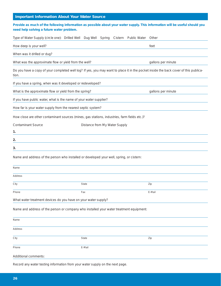# **Important Information About Your Water Source**

| Provide as much of the following information as possible about your water supply. This information will be useful should you<br>need help solving a future water problem. |                                          |                    |
|---------------------------------------------------------------------------------------------------------------------------------------------------------------------------|------------------------------------------|--------------------|
| Type of Water Supply (circle one): Drilled Well Dug Well                                                                                                                  | <b>Public Water</b><br>Spring<br>Cistern | Other              |
| How deep is your well?                                                                                                                                                    |                                          | feet               |
| When was it drilled or dug?                                                                                                                                               |                                          |                    |
| What was the approximate flow or yield from the well?                                                                                                                     |                                          | gallons per minute |
| Do you have a copy of your completed well log? If yes, you may want to place it in the pocket inside the back cover of this publica-<br>tion.                             |                                          |                    |
| If you have a spring, when was it developed or redeveloped?                                                                                                               |                                          |                    |
| What is the approximate flow or yield from the spring?                                                                                                                    |                                          | gallons per minute |
| If you have public water, what is the name of your water supplier?                                                                                                        |                                          |                    |
| How far is your water supply from the nearest septic system?                                                                                                              |                                          |                    |
| How close are other contaminant sources (mines, gas stations, industries, farm fields etc.)?                                                                              |                                          |                    |
| <b>Contaminant Source</b>                                                                                                                                                 | Distance from My Water Supply            |                    |
| 1.                                                                                                                                                                        |                                          |                    |
| 2.                                                                                                                                                                        |                                          |                    |
| 3.                                                                                                                                                                        |                                          |                    |
| Name and address of the person who installed or developed your well, spring, or cistern:                                                                                  |                                          |                    |
| Name                                                                                                                                                                      |                                          |                    |
| Address                                                                                                                                                                   |                                          |                    |
| City                                                                                                                                                                      | <b>State</b>                             | Zip                |
| Phone                                                                                                                                                                     | Fax                                      | E-Mail             |
| What water treatment devices do you have on your water supply?                                                                                                            |                                          |                    |
| Name and address of the person or company who installed your water treatment equipment:                                                                                   |                                          |                    |
| Name                                                                                                                                                                      |                                          |                    |
| Address                                                                                                                                                                   |                                          |                    |
| City                                                                                                                                                                      | State                                    | Zip                |
| Phone                                                                                                                                                                     | E-Mail                                   |                    |
| Additional comments:                                                                                                                                                      |                                          |                    |

Record any water testing information from your water supply on the next page.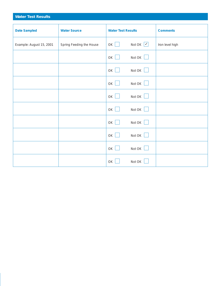| <b>Water Test Results</b> |                          |                           |                             |                 |
|---------------------------|--------------------------|---------------------------|-----------------------------|-----------------|
|                           |                          |                           |                             |                 |
| <b>Date Sampled</b>       | <b>Water Source</b>      | <b>Water Test Results</b> |                             | <b>Comments</b> |
| Example: August 15, 2001  | Spring Feeding the House | OK                        | Not OK $\boxed{\checkmark}$ | Iron level high |
|                           |                          | OK                        | Not OK                      |                 |
|                           |                          | OK                        | Not OK                      |                 |
|                           |                          | OK                        | Not OK $\vert$              |                 |
|                           |                          | OK                        | Not OK                      |                 |
|                           |                          | OK                        | Not OK                      |                 |
|                           |                          | OK                        | Not OK                      |                 |
|                           |                          | OK                        | Not OK                      |                 |
|                           |                          | OK                        | Not OK                      |                 |
|                           |                          | OK                        | Not OK                      |                 |